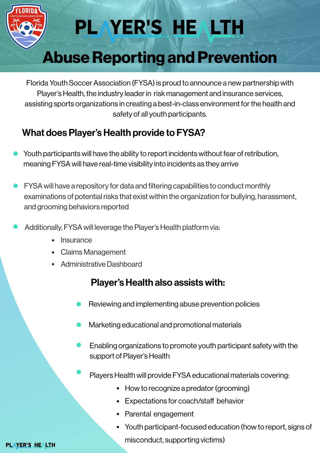

# PLAYER'S HEALTH

## Abuse Reporting and Prevention

Florida Youth Soccer Association (FYSA) is proud to announce a new partnership with Player's Health, the industry leader in risk management and insurance services, assisting sports organizations in creating a best-in-class environment for the health and safety of all youth participants.

### What does Player's Health provide to FYSA?

- Youth participants will have the ability to report incidents without fear of retribution, meaning FYSA will have real-time visibility into incidents as they arrive
- FYSA will have a repository for data and filtering capabilities to conduct monthly examinations of potential risks that exist within the organization for bullying, harassment, and grooming behaviors reported
- Additionally, FYSA will leverage the Player's Health platform via:
	- Insurance
	- Claims Management
	- Administrative Dashboard

### Player's Health also assists with:

- Reviewing and implementing abuse prevention policies
- Marketing educational and promotional materials
- Enabling organizations to promote youth participant safety with the support of Player's Health
- Players Health will provide FYSA educational materials covering:
	- How to recognize a predator (grooming)
	- Expectations for coach/staff behavior
	- Parental engagement
	- Youth participant-focused education (how to report, signs of misconduct, supporting victims)